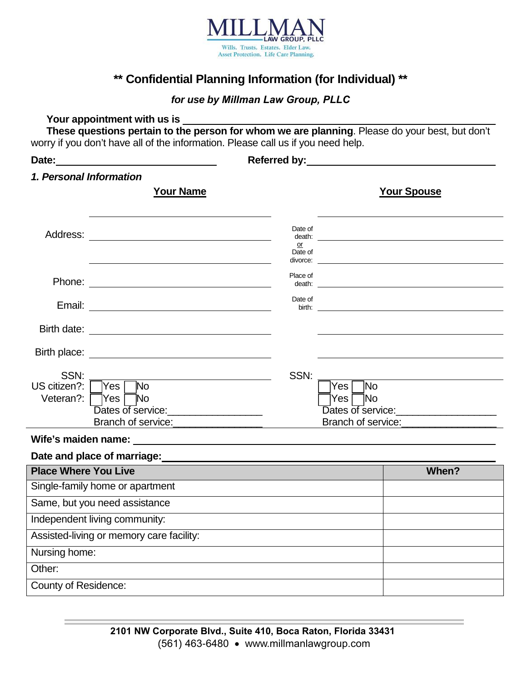

# **\*\* Confidential Planning Information (for Individual) \*\***

*for use by Millman Law Group, PLLC*

## **Your appointment with us is**

**These questions pertain to the person for whom we are planning**. Please do your best, but don't worry if you don't have all of the information. Please call us if you need help.

Date: **Date: Referred by: Referred by: Referred by: Referred by: Referred by: Referred by: Referred by: Referred by: Referred by: Referred by: Referred by: Referred by: Referred by: Referred by:** 

| 1. Personal Information           |                                                                                                             |                                          |                                                                 |  |
|-----------------------------------|-------------------------------------------------------------------------------------------------------------|------------------------------------------|-----------------------------------------------------------------|--|
|                                   | <b>Your Name</b>                                                                                            |                                          | <b>Your Spouse</b>                                              |  |
|                                   |                                                                                                             | Date of<br>death:<br>$\alpha$<br>Date of |                                                                 |  |
|                                   |                                                                                                             | Place of                                 |                                                                 |  |
|                                   |                                                                                                             | Date of                                  |                                                                 |  |
|                                   |                                                                                                             |                                          |                                                                 |  |
|                                   |                                                                                                             |                                          |                                                                 |  |
| SSN:<br>US citizen?:<br>Veteran?: | $\overline{\text{No}}$<br>̄Yes l<br>$\bigcap$ Yes $\bigcap$<br>`No<br>Dates of service:____________________ | SSN:                                     | <b>TNo</b><br><b>Yes</b><br> Yes  <br>1No<br>Branch of service: |  |
|                                   |                                                                                                             |                                          |                                                                 |  |
|                                   |                                                                                                             |                                          |                                                                 |  |
| <b>Place Where You Live</b>       |                                                                                                             |                                          | When?                                                           |  |
|                                   | Single-family home or apartment                                                                             |                                          |                                                                 |  |
|                                   | Same, but you need assistance                                                                               |                                          |                                                                 |  |
|                                   | Independent living community:                                                                               |                                          |                                                                 |  |
|                                   | Assisted-living or memory care facility:                                                                    |                                          |                                                                 |  |
| Nursing home:                     |                                                                                                             |                                          |                                                                 |  |
| Other:                            |                                                                                                             |                                          |                                                                 |  |
| <b>County of Residence:</b>       |                                                                                                             |                                          |                                                                 |  |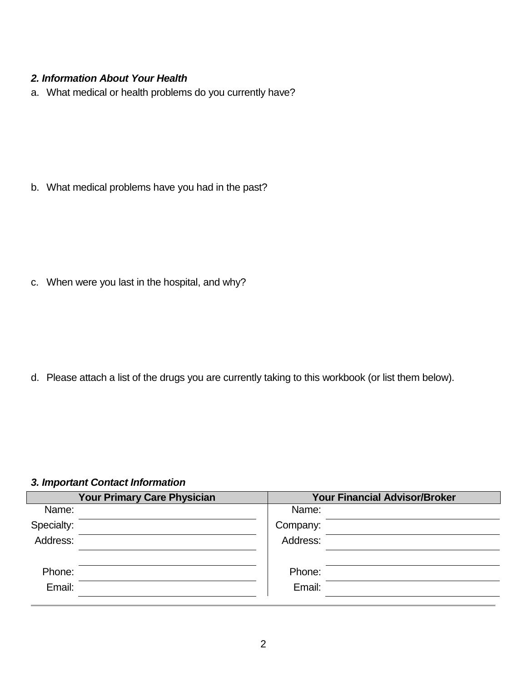## *2. Information About Your Health*

a. What medical or health problems do you currently have?

b. What medical problems have you had in the past?

c. When were you last in the hospital, and why?

d. Please attach a list of the drugs you are currently taking to this workbook (or list them below).

#### *3. Important Contact Information*

|            | <b>Your Primary Care Physician</b> | <b>Your Financial Advisor/Broker</b> |  |
|------------|------------------------------------|--------------------------------------|--|
| Name:      |                                    | Name:                                |  |
| Specialty: |                                    | Company:                             |  |
| Address:   |                                    | Address:                             |  |
|            |                                    |                                      |  |
| Phone:     |                                    | Phone:                               |  |
| Email:     |                                    | Email:                               |  |
|            |                                    |                                      |  |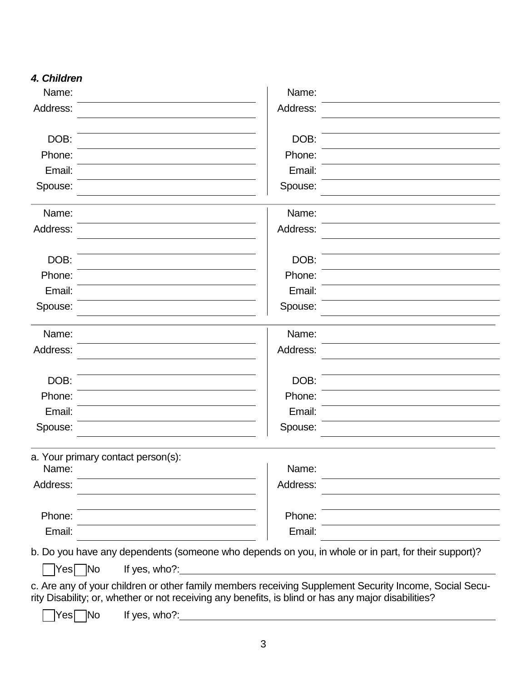| Name:                              | Name:                                                                                                                                                                                                         |  |
|------------------------------------|---------------------------------------------------------------------------------------------------------------------------------------------------------------------------------------------------------------|--|
| Address:                           | Address:                                                                                                                                                                                                      |  |
|                                    |                                                                                                                                                                                                               |  |
| DOB:                               | DOB:                                                                                                                                                                                                          |  |
| Phone:                             | Phone:                                                                                                                                                                                                        |  |
| Email:                             | Email:                                                                                                                                                                                                        |  |
| Spouse:                            | Spouse:                                                                                                                                                                                                       |  |
| Name:                              | Name:                                                                                                                                                                                                         |  |
| Address:                           | Address:                                                                                                                                                                                                      |  |
| DOB:                               | DOB:                                                                                                                                                                                                          |  |
| Phone:                             | Phone:                                                                                                                                                                                                        |  |
| Email:                             | Email:                                                                                                                                                                                                        |  |
| Spouse:                            | Spouse:                                                                                                                                                                                                       |  |
| Name:                              | Name:                                                                                                                                                                                                         |  |
| Address:                           | Address:                                                                                                                                                                                                      |  |
| DOB:                               | DOB:                                                                                                                                                                                                          |  |
| Phone:                             | Phone:                                                                                                                                                                                                        |  |
| Email:                             | Email:                                                                                                                                                                                                        |  |
| Spouse:                            | Spouse:                                                                                                                                                                                                       |  |
| a. Your primary contact person(s): |                                                                                                                                                                                                               |  |
| Name:                              | Name:                                                                                                                                                                                                         |  |
| Address:                           | Address:                                                                                                                                                                                                      |  |
| Phone:                             | Phone:                                                                                                                                                                                                        |  |
| Email:                             | Email:                                                                                                                                                                                                        |  |
|                                    | b. Do you have any dependents (someone who depends on you, in whole or in part, for their support)?                                                                                                           |  |
| Yes <sub>No</sub><br>If yes, who?: |                                                                                                                                                                                                               |  |
|                                    | c. Are any of your children or other family members receiving Supplement Security Income, Social Secu-<br>rity Disability; or, whether or not receiving any benefits, is blind or has any major disabilities? |  |
| Yes□No<br>If yes, who?:_           |                                                                                                                                                                                                               |  |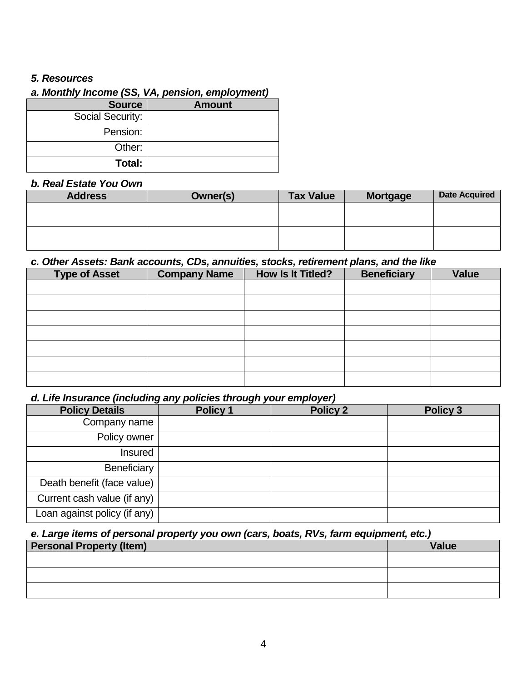### *5. Resources*

### *a. Monthly Income (SS, VA, pension, employment)*

| <b>Source</b>    | <b>Amount</b> |
|------------------|---------------|
| Social Security: |               |
| Pension:         |               |
| Other:           |               |
| Total:           |               |

#### *b. Real Estate You Own*

| <b>Address</b> | Owner(s) | <b>Tax Value</b> | <b>Mortgage</b> | <b>Date Acquired</b> |
|----------------|----------|------------------|-----------------|----------------------|
|                |          |                  |                 |                      |
|                |          |                  |                 |                      |
|                |          |                  |                 |                      |
|                |          |                  |                 |                      |

## *c. Other Assets: Bank accounts, CDs, annuities, stocks, retirement plans, and the like*

| <b>Type of Asset</b> | <b>Company Name</b> | <b>How Is It Titled?</b> | <b>Beneficiary</b> | <b>Value</b> |
|----------------------|---------------------|--------------------------|--------------------|--------------|
|                      |                     |                          |                    |              |
|                      |                     |                          |                    |              |
|                      |                     |                          |                    |              |
|                      |                     |                          |                    |              |
|                      |                     |                          |                    |              |
|                      |                     |                          |                    |              |
|                      |                     |                          |                    |              |

#### *d. Life Insurance (including any policies through your employer)*

| <b>Policy Details</b>        | Policy 1 | <b>Policy 2</b> | Policy 3 |
|------------------------------|----------|-----------------|----------|
| Company name                 |          |                 |          |
| Policy owner                 |          |                 |          |
| <b>Insured</b>               |          |                 |          |
| Beneficiary                  |          |                 |          |
| Death benefit (face value)   |          |                 |          |
| Current cash value (if any)  |          |                 |          |
| Loan against policy (if any) |          |                 |          |

## *e. Large items of personal property you own (cars, boats, RVs, farm equipment, etc.)*

| <b>Personal Property (Item)</b> | <b>Value</b> |
|---------------------------------|--------------|
|                                 |              |
|                                 |              |
|                                 |              |
|                                 |              |